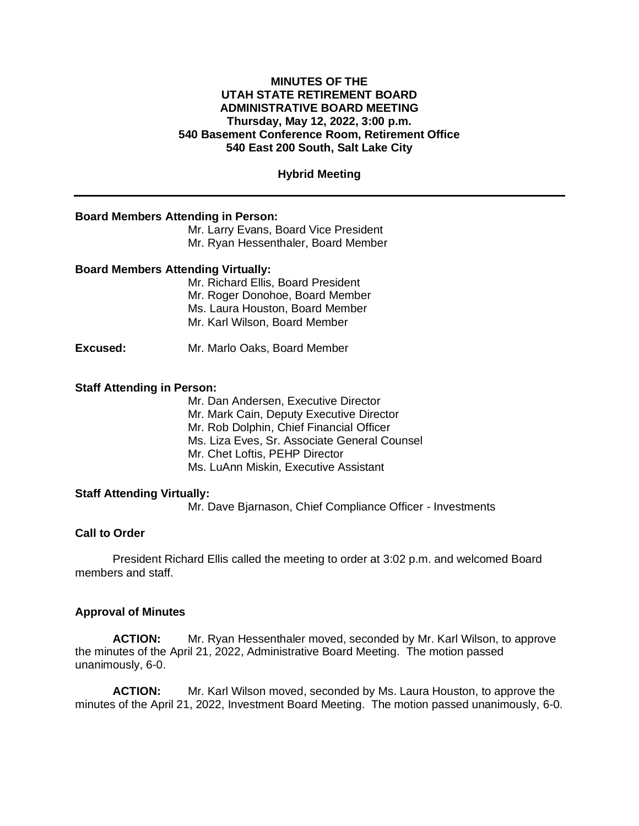### **MINUTES OF THE UTAH STATE RETIREMENT BOARD ADMINISTRATIVE BOARD MEETING Thursday, May 12, 2022, 3:00 p.m. 540 Basement Conference Room, Retirement Office 540 East 200 South, Salt Lake City**

## **Hybrid Meeting**

#### **Board Members Attending in Person:**

Mr. Larry Evans, Board Vice President Mr. Ryan Hessenthaler, Board Member

#### **Board Members Attending Virtually:**

Mr. Richard Ellis, Board President Mr. Roger Donohoe, Board Member Ms. Laura Houston, Board Member Mr. Karl Wilson, Board Member

**Excused:** Mr. Marlo Oaks, Board Member

#### **Staff Attending in Person:**

Mr. Dan Andersen, Executive Director Mr. Mark Cain, Deputy Executive Director Mr. Rob Dolphin, Chief Financial Officer Ms. Liza Eves, Sr. Associate General Counsel Mr. Chet Loftis, PEHP Director Ms. LuAnn Miskin, Executive Assistant

# **Staff Attending Virtually:**

Mr. Dave Bjarnason, Chief Compliance Officer - Investments

# **Call to Order**

President Richard Ellis called the meeting to order at 3:02 p.m. and welcomed Board members and staff.

#### **Approval of Minutes**

**ACTION:** Mr. Ryan Hessenthaler moved, seconded by Mr. Karl Wilson, to approve the minutes of the April 21, 2022, Administrative Board Meeting. The motion passed unanimously, 6-0.

**ACTION:** Mr. Karl Wilson moved, seconded by Ms. Laura Houston, to approve the minutes of the April 21, 2022, Investment Board Meeting. The motion passed unanimously, 6-0.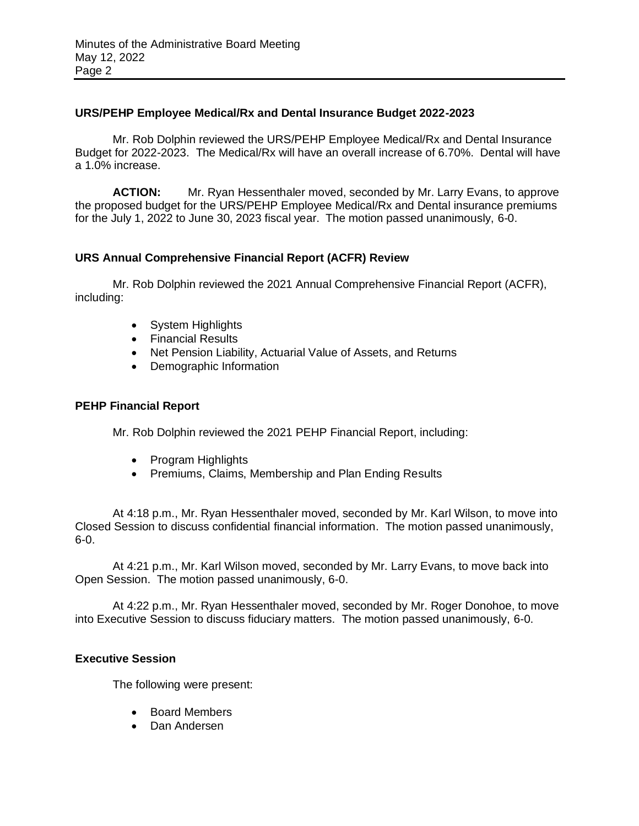# **URS/PEHP Employee Medical/Rx and Dental Insurance Budget 2022-2023**

Mr. Rob Dolphin reviewed the URS/PEHP Employee Medical/Rx and Dental Insurance Budget for 2022-2023. The Medical/Rx will have an overall increase of 6.70%. Dental will have a 1.0% increase.

**ACTION:** Mr. Ryan Hessenthaler moved, seconded by Mr. Larry Evans, to approve the proposed budget for the URS/PEHP Employee Medical/Rx and Dental insurance premiums for the July 1, 2022 to June 30, 2023 fiscal year. The motion passed unanimously, 6-0.

# **URS Annual Comprehensive Financial Report (ACFR) Review**

Mr. Rob Dolphin reviewed the 2021 Annual Comprehensive Financial Report (ACFR), including:

- System Highlights
- Financial Results
- Net Pension Liability, Actuarial Value of Assets, and Returns
- Demographic Information

### **PEHP Financial Report**

Mr. Rob Dolphin reviewed the 2021 PEHP Financial Report, including:

- Program Highlights
- Premiums, Claims, Membership and Plan Ending Results

At 4:18 p.m., Mr. Ryan Hessenthaler moved, seconded by Mr. Karl Wilson, to move into Closed Session to discuss confidential financial information. The motion passed unanimously, 6-0.

At 4:21 p.m., Mr. Karl Wilson moved, seconded by Mr. Larry Evans, to move back into Open Session. The motion passed unanimously, 6-0.

At 4:22 p.m., Mr. Ryan Hessenthaler moved, seconded by Mr. Roger Donohoe, to move into Executive Session to discuss fiduciary matters. The motion passed unanimously, 6-0.

### **Executive Session**

The following were present:

- Board Members
- Dan Andersen